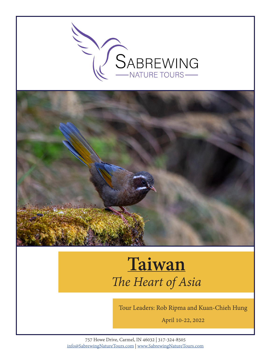



# **Taiwan** *The Heart of Asia*

Tour Leaders: Rob Ripma and Kuan-Chieh Hung

April 10-22, 2022

757 Howe Drive, Carmel, IN 46032 | 317-324-8505 info@SabrewingNatureTours.com | www.SabrewingNatureTours.com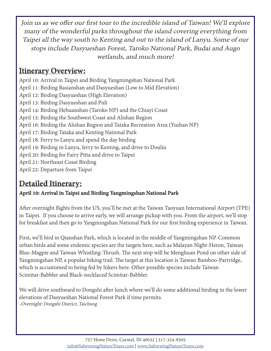Join us as we offer our first tour to the incredible island of Taiwan! We'll explore many of the wonderful parks throughout the island covering everything from Taipei all the way south to Kenting and out to the island of Lanyu. Some of our stops include Dasyueshan Forest, Taroko National Park, Budai and Augo wetlands, and much more!

# **Itinerary Overview:**

April 10: Arrival in Taipei and Birding Yangmingshan National Park April 11: Birding Basianshan and Dasyueshan (Low to Mid Elevation) April 12: Birding Dasyueshan (High Elevation) April 13: Birding Dasyueshan and Puli April 14: Birding Hehuanshan (Taroko NP) and the Chiayi Coast April 15: Birding the Southwest Coast and Alishan Region April 16: Birding the Alishan Region and Tataka Recreation Area (Yushan NP) April 17: Birding Tataka and Kenting National Park April 18: Ferry to Lanyu and spend the day birding April 19: Birding in Lanyu, ferry to Kenting, and drive to Douliu April 20: Birding for Fairy Pitta and drive to Taipei April 21: Northeast Coast Birding April 22: Departure from Taipei

# **Detailed Itinerary:**

## **April 10: Arrival in Taipei and Birding Yangmingshan National Park**

After overnight flights from the US, you'll be met at the Taiwan Taoyuan International Airport (TPE) in Taipei. If you choose to arrive early, we will arrange pickup with you. From the airport, we'll stop for breakfast and then go to Yangmingshan National Park for our first birding experience in Taiwan.

First, we'll bird in Qianshan Park, which is located in the middle of Yangmingshan NP. Common urban birds and some endemic species are the targets here, such as Malayan Night-Heron, Taiwan Blue-Magpie and Taiwan Whistling-Thrush. The next stop will be Menghuan Pond on other side of Yangmingshan NP, a popular hiking trail. The target at this location is Taiwan Bamboo-Partridge, which is accustomed to being fed by hikers here. Other possible species include Taiwan Scimitar-Babbler and Black-necklaced Scimitar-Babbler.

We will drive southward to Dongshi after lunch where we'll do some additional birding in the lower elevations of Dasyueshan National Forest Park if time permits. -Overnight: Dongshi District, Taichung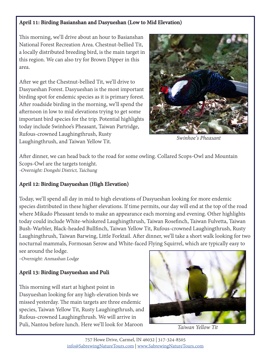### **April 11: Birding Basianshan and Dasyueshan (Low to Mid Elevation)**

This morning, we'll drive about an hour to Basianshan National Forest Recreation Area. Chestnut-bellied Tit, a locally distributed breeding bird, is the main target in this region. We can also try for Brown Dipper in this area.

After we get the Chestnut-bellied Tit, we'll drive to Dasyueshan Forest. Dasyueshan is the most important birding spot for endemic species as it is primary forest. After roadside birding in the morning, we'll spend the afternoon in low to mid elevations trying to get some important bird species for the trip. Potential highlights today include Swinhoe's Pheasant, Taiwan Partridge, Rufous-crowned Laughingthrush, Rusty Laughingthrush, and Taiwan Yellow Tit.



*Swinhoe's Pheasant*

After dinner, we can head back to the road for some owling. Collared Scops-Owl and Mountain Scops-Owl are the targets tonight. -Overnight: Dongshi District, Taichung

## **April 12: Birding Dasyueshan (High Elevation)**

Today, we'll spend all day in mid to high elevations of Dasyueshan looking for more endemic species distributed in these higher elevations. If time permits, our day will end at the top of the road where Mikado Pheasant tends to make an appearance each morning and evening. Other highlights today could include White-whiskered Laughingthrush, Taiwan Rosefinch, Taiwan Fulvetta, Taiwan Bush-Warbler, Black-headed Bullfinch, Taiwan Yellow Tit, Rufous-crowned Laughingthrush, Rusty Laughingthrush, Taiwan Barwing, Little Forktail. After dinner, we'll take a short walk looking for two nocturnal mammals, Formosan Serow and White-faced Flying Squirrel, which are typically easy to see around the lodge.

-Overnight: Anmashan Lodge

## **April 13: Birding Dasyueshan and Puli**

This morning will start at highest point in Dasyueshan looking for any high-elevation birds we missed yesterday. The main targets are three endemic species, Taiwan Yellow Tit, Rusty Laughingthrush, and Rufous-crowned Laughingthrush. We will arrive in Puli, Nantou before lunch. Here we'll look for Maroon



*Taiwan Yellow Tit*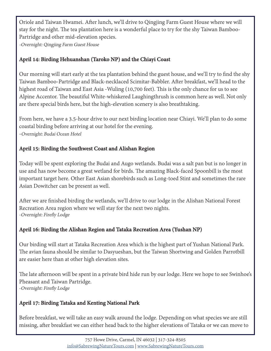Oriole and Taiwan Hwamei. After lunch, we'll drive to Qingjing Farm Guest House where we will stay for the night. The tea plantation here is a wonderful place to try for the shy Taiwan Bamboo-Partridge and other mid-elevation species.

-Overnight: Qingjing Farm Guest House

## **April 14: Birding Hehuanshan (Taroko NP) and the Chiayi Coast**

Our morning will start early at the tea plantation behind the guest house, and we'll try to find the shy Taiwan Bamboo-Partridge and Black-necklaced Scimitar-Babbler. After breakfast, we'll head to the highest road of Taiwan and East Asia -Wuling (10,700 feet). This is the only chance for us to see Alpine Accentor. The beautiful White-whiskered Laughingthrush is common here as well. Not only are there special birds here, but the high-elevation scenery is also breathtaking.

From here, we have a 3.5-hour drive to our next birding location near Chiayi. We'll plan to do some coastal birding before arriving at our hotel for the evening. -Overnight: Budai Ocean Hotel

## **April 15: Birding the Southwest Coast and Alishan Region**

Today will be spent exploring the Budai and Augo wetlands. Budai was a salt pan but is no longer in use and has now become a great wetland for birds. The amazing Black-faced Spoonbill is the most important target here. Other East Asian shorebirds such as Long-toed Stint and sometimes the rare Asian Dowitcher can be present as well.

After we are finished birding the wetlands, we'll drive to our lodge in the Alishan National Forest Recreation Area region where we will stay for the next two nights. -Overnight: Firefly Lodge

## **April 16: Birding the Alishan Region and Tataka Recreation Area (Yushan NP)**

Our birding will start at Tataka Recreation Area which is the highest part of Yushan National Park. The avian fauna should be similar to Dasyueshan, but the Taiwan Shortwing and Golden Parrotbill are easier here than at other high elevation sites.

The late afternoon will be spent in a private bird hide run by our lodge. Here we hope to see Swinhoe's Pheasant and Taiwan Partridge. -Overnight: Firefly Lodge

## **April 17: Birding Tataka and Kenting National Park**

Before breakfast, we will take an easy walk around the lodge. Depending on what species we are still missing, after breakfast we can either head back to the higher elevations of Tataka or we can move to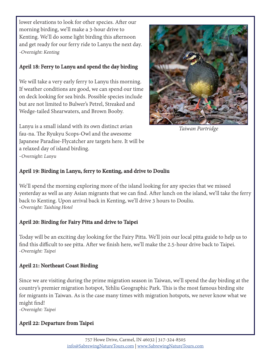lower elevations to look for other species. After our morning birding, we'll make a 3-hour drive to Kenting. We'll do some light birding this afternoon and get ready for our ferry ride to Lanyu the next day. -Overnight: Kenting

## **April 18: Ferry to Lanyu and spend the day birding**

We will take a very early ferry to Lanyu this morning. If weather conditions are good, we can spend our time on deck looking for sea birds. Possible species include but are not limited to Bulwer's Petrel, Streaked and Wedge-tailed Shearwaters, and Brown Booby.

Lanyu is a small island with its own distinct avian fau-na. The Ryukyu Scops-Owl and the awesome Japanese Paradise-Flycatcher are targets here. It will be a relaxed day of island birding. -Overnight: Lanyu



*Taiwan Partridge*

## **April 19: Birding in Lanyu, ferry to Kenting, and drive to Douliu**

We'll spend the morning exploring more of the island looking for any species that we missed yesterday as well as any Asian migrants that we can find. After lunch on the island, we'll take the ferry back to Kenting. Upon arrival back in Kenting, we'll drive 3 hours to Douliu. -Overnight: Taishing Hotel

### **April 20: Birding for Fairy Pitta and drive to Taipei**

Today will be an exciting day looking for the Fairy Pitta. We'll join our local pitta guide to help us to find this difficult to see pitta. After we finish here, we'll make the 2.5-hour drive back to Taipei. -Overnight: Taipei

## **April 21: Northeast Coast Birding**

Since we are visiting during the prime migration season in Taiwan, we'll spend the day birding at the country's premier migration hotspot, Yehliu Geographic Park. This is the most famous birding site for migrants in Taiwan. As is the case many times with migration hotspots, we never know what we might find!

-Overnight: Taipei

## **April 22: Departure from Taipei**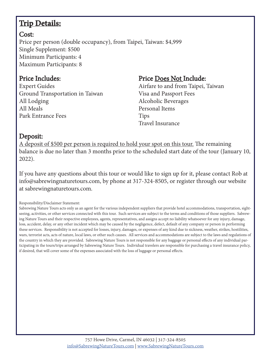# **Trip Details:**

## Cost:

Price per person (double occupancy), from Taipei, Taiwan: \$4,999 Single Supplement: \$500 Minimum Participants: 4 Maximum Participants: 8

## Price Includes:

Expert Guides Ground Transportation in Taiwan All Lodging All Meals Park Entrance Fees

## Price Does Not Include:

Airfare to and from Taipei, Taiwan Visa and Passport Fees Alcoholic Beverages Personal Items Tips Travel Insurance

## Deposit:

A deposit of \$500 per person is required to hold your spot on this tour. The remaining balance is due no later than 3 months prior to the scheduled start date of the tour (January 10, 2022).

If you have any questions about this tour or would like to sign up for it, please contact Rob at info@sabrewingnaturetours.com, by phone at 317-324-8505, or register through our website at sabrewingnaturetours.com.

Responsibility/Disclaimer Statement:

Sabrewing Nature Tours acts only as an agent for the various independent suppliers that provide hotel accommodations, transportation, sightseeing, activities, or other services connected with this tour. Such services are subject to the terms and conditions of those suppliers. Sabrewing Nature Tours and their respective employees, agents, representatives, and assigns accept no liability whatsoever for any injury, damage, loss, accident, delay, or any other incident which may be caused by the negligence, defect, default of any company or person in performing these services. Responsibility is not accepted for losses, injury, damages, or expenses of any kind due to sickness, weather, strikes, hostilities, wars, terrorist acts, acts of nature, local laws, or other such causes. All services and accommodations are subject to the laws and regulations of the country in which they are provided. Sabrewing Nature Tours is not responsible for any baggage or personal effects of any individual participating in the tours/trips arranged by Sabrewing Nature Tours. Individual travelers are responsible for purchasing a travel insurance policy, if desired, that will cover some of the expenses associated with the loss of luggage or personal effects.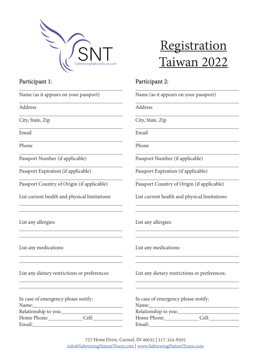

Participant 1:

# **Registration** Taiwan 2022

## Participant 2:

| Name (as it appears on your passport)         | Name (as it appears on your passport)         |  |
|-----------------------------------------------|-----------------------------------------------|--|
| Address                                       | Address                                       |  |
| City, State, Zip                              | City, State, Zip                              |  |
| Email                                         | Email                                         |  |
| Phone                                         | Phone                                         |  |
| Passport Number (if applicable)               | Passport Number (if applicable)               |  |
| Passport Expiration (if applicable)           | Passport Expiration (if applicable)           |  |
| Passport Country of Origin (if applicable)    | Passport Country of Origin (if applicable)    |  |
| List current health and physical limitations: | List current health and physical limitations: |  |
| List any allergies:                           | List any allergies:                           |  |
| List any medications:                         | List any medications:                         |  |
| List any dietary restrictions or preferences: | List any dietary restrictions or preferences: |  |
| In case of emergency please notify:           | In case of emergency please notify:           |  |
|                                               |                                               |  |
| Home Phone: Cell:                             | Home Phone: Cell:                             |  |
|                                               |                                               |  |

757 Howe Drive, Carmel, IN 46032 | 317-324-8505 info@SabrewingNatureTours.com | www.SabrewingNatureTours.com